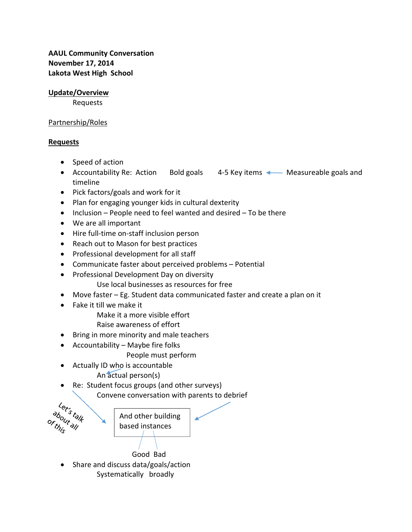**AAUL Community Conversation November 17, 2014 Lakota West High School**

## **Update/Overview**

Requests

## Partnership/Roles

## **Requests**

- Speed of action
- Accountability Re: Action Bold goals 4-5 Key items < Measureable goals and timeline
- Pick factors/goals and work for it
- Plan for engaging younger kids in cultural dexterity
- $\bullet$  Inclusion People need to feel wanted and desired To be there
- We are all important
- Hire full-time on-staff inclusion person
- Reach out to Mason for best practices
- Professional development for all staff
- Communicate faster about perceived problems Potential
- Professional Development Day on diversity
	- Use local businesses as resources for free
- Move faster Eg. Student data communicated faster and create a plan on it
- Fake it till we make it
	- Make it a more visible effort
	- Raise awareness of effort
- Bring in more minority and male teachers
- $\bullet$  Accountability Maybe fire folks
	- People must perform
- Actually ID who is accountable
	- An actual person(s)
- Re: Student focus groups (and other surveys)

Convene conversation with parents to debrief



• Share and discuss data/goals/action Systematically broadly